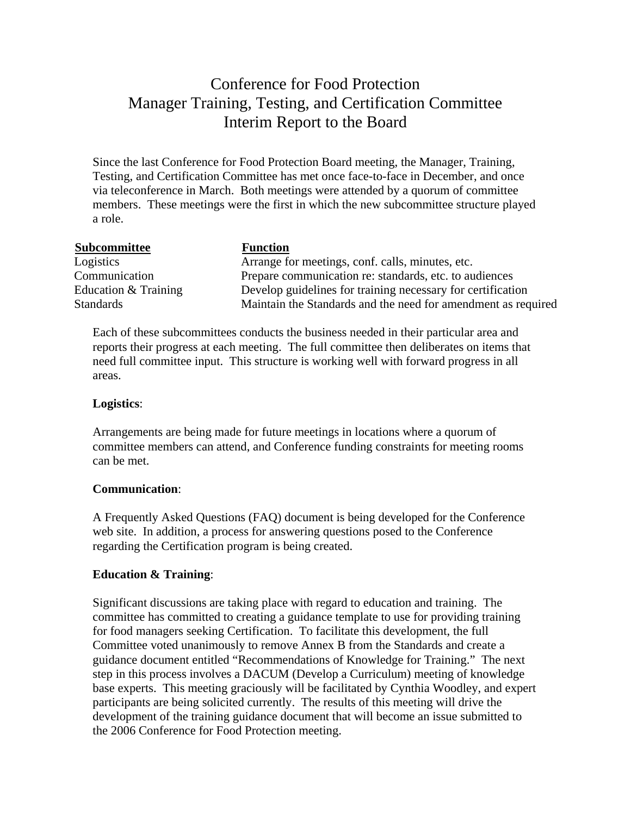# Conference for Food Protection Manager Training, Testing, and Certification Committee Interim Report to the Board

Since the last Conference for Food Protection Board meeting, the Manager, Training, Testing, and Certification Committee has met once face-to-face in December, and once via teleconference in March. Both meetings were attended by a quorum of committee members. These meetings were the first in which the new subcommittee structure played a role.

| <b>Subcommittee</b>  | <b>Function</b>                                               |
|----------------------|---------------------------------------------------------------|
| Logistics            | Arrange for meetings, conf. calls, minutes, etc.              |
| Communication        | Prepare communication re: standards, etc. to audiences        |
| Education & Training | Develop guidelines for training necessary for certification   |
| <b>Standards</b>     | Maintain the Standards and the need for amendment as required |

Each of these subcommittees conducts the business needed in their particular area and reports their progress at each meeting. The full committee then deliberates on items that need full committee input. This structure is working well with forward progress in all areas.

#### **Logistics**:

Arrangements are being made for future meetings in locations where a quorum of committee members can attend, and Conference funding constraints for meeting rooms can be met.

## **Communication**:

A Frequently Asked Questions (FAQ) document is being developed for the Conference web site. In addition, a process for answering questions posed to the Conference regarding the Certification program is being created.

## **Education & Training**:

Significant discussions are taking place with regard to education and training. The committee has committed to creating a guidance template to use for providing training for food managers seeking Certification. To facilitate this development, the full Committee voted unanimously to remove Annex B from the Standards and create a guidance document entitled "Recommendations of Knowledge for Training." The next step in this process involves a DACUM (Develop a Curriculum) meeting of knowledge base experts. This meeting graciously will be facilitated by Cynthia Woodley, and expert participants are being solicited currently. The results of this meeting will drive the development of the training guidance document that will become an issue submitted to the 2006 Conference for Food Protection meeting.